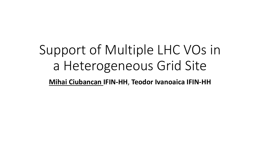**Mihai Ciubancan IFIN-HH**, **Teodor Ivanoaica IFIN-HH**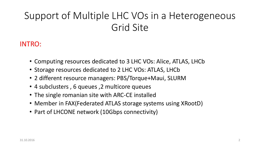#### INTRO:

- Computing resources dedicated to 3 LHC VOs: Alice, ATLAS, LHCb
- Storage resources dedicated to 2 LHC VOs: ATLAS, LHCb
- 2 different resource managers: PBS/Torque+Maui, SLURM
- 4 subclusters , 6 queues ,2 multicore queues
- The single romanian site with ARC-CE installed
- Member in FAX(Federated ATLAS storage systems using XRootD)
- Part of LHCONE network (10Gbps connectivity)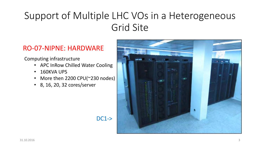#### RO-07-NIPNE: HARDWARE

Computing infrastructure

- APC InRow Chilled Water Cooling
- 160KVA UPS
- More then 2200 CPU(~230 nodes)
- 8, 16, 20, 32 cores/server



#### DC1->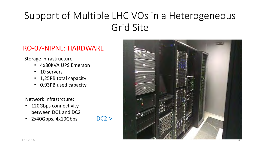#### RO-07-NIPNE: HARDWARE

#### Storage infrastructure

- 4x80KVA UPS Emerson
- 10 servers
- 1,25PB total capacity
- 0,93PB used capacity

Network infrastrcture:

- 120Gbps connectivity between DC1 and DC2
- 2x40Gbps, 4x10Gbps

DC2->

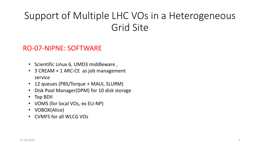#### RO-07-NIPNE: SOFTWARE

- Scientific Linux 6, UMD3 middleware ,
- 3 CREAM + 1 ARC-CE as job management service
- 12 queues (PBS/Torque + MAUI, SLURM)
- Disk Pool Manager(DPM) for 10 disk storage
- Top BDII
- VOMS (for local VOs, ex ELI-NP)
- VOBOX(Alice)
- CVMFS for all WLCG VOs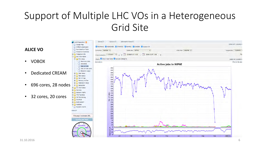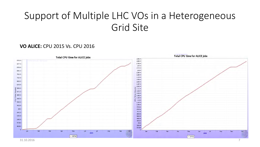#### **VO ALICE:** CPU 2015 Vs. CPU 2016



31.10.2016 7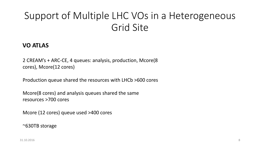#### **VO ATLAS**

2 CREAM's + ARC-CE, 4 queues: analysis, production, Mcore(8 cores), Mcore(12 cores)

Production queue shared the resources with LHCb >600 cores

Mcore(8 cores) and analysis queues shared the same resources >700 cores

Mcore (12 cores) queue used >400 cores

~630TB storage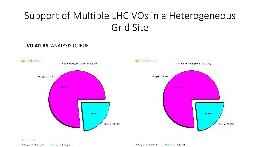#### **VO ATLAS:** ANALYSIS QUEUE



Analysis - 76.70% (110,542) Others - 23.30% (33,587)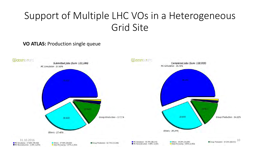#### **VO ATLAS:** Production single queue

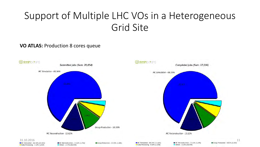#### **VO ATLAS:** Production 8 cores queue

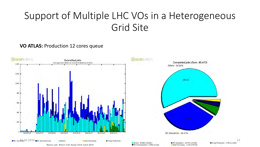#### **VO ATLAS:** Production 12 cores queue

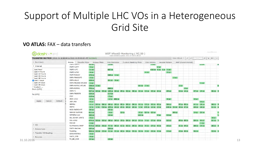#### **VO ATLAS:** FAX – data transfers

| TRANSFER MATRIX (2016-10-18 00:00 to 2016-10-25 00:00 UTC SLIDING) |                                         |                  |                     |                                                                                      |                        |             |       |                             |  |            |                  |      |                       |                 | MAX CELLS $*$ $\neq$ $\neq$ $\neq$ ( |                    |                                | <b>The Contract of the Contract of the Contract</b> |                 | $\begin{array}{ccccc}\n\mathcal{D} & \mathcal{D} & \mathcal{D} & \mathcal{D}\n\end{array}$ |   |
|--------------------------------------------------------------------|-----------------------------------------|------------------|---------------------|--------------------------------------------------------------------------------------|------------------------|-------------|-------|-----------------------------|--|------------|------------------|------|-----------------------|-----------------|--------------------------------------|--------------------|--------------------------------|-----------------------------------------------------|-----------------|--------------------------------------------------------------------------------------------|---|
| ▶ Summary                                                          | <b>Transfer Plots</b><br>Matrix         |                  | <b>Access Plots</b> |                                                                                      | <b>Site Statistics</b> |             |       | <b>Custom Ranking Plots</b> |  |            | Site History     |      | <b>Access Pattern</b> |                 |                                      | MAP (Experimental) |                                |                                                     |                 |                                                                                            |   |
| * Interval                                                         | <b>IIVZPJ-CPPPI</b>                     | <b>D.3 GB</b>    |                     |                                                                                      | 15 GB                  |             |       |                             |  |            |                  | U KB |                       |                 |                                      |                    |                                |                                                     | 2 GB            |                                                                                            |   |
|                                                                    | IN2P3-LAPP                              | 0 <sub>kB</sub>  |                     |                                                                                      |                        |             |       |                             |  |            |                  |      | 0 <sub>kB</sub>       |                 |                                      |                    |                                |                                                     |                 |                                                                                            |   |
| Last hour<br>Last 4 hours                                          | IN2P3-LPC                               | 11 <sub>GB</sub> |                     |                                                                                      | 887 мв                 |             |       |                             |  |            |                  |      | 458 MB 4 GB 0 kB 5 GB |                 |                                      |                    |                                |                                                     |                 |                                                                                            |   |
| Last 12 hours                                                      | IN2P3-LPSC                              | 4 G <sub>B</sub> |                     |                                                                                      |                        |             |       |                             |  |            | 4 <sub>GB</sub>  |      |                       | 0 <sub>kB</sub> |                                      |                    |                                |                                                     |                 |                                                                                            |   |
| Last 24 hours                                                      | <b>IN2P3failover</b>                    | 172 GB           |                     |                                                                                      | 168 GB 1 GB            |             |       |                             |  |            |                  |      |                       |                 |                                      |                    |                                |                                                     |                 |                                                                                            |   |
| Last 48 hours                                                      | <b>INFN-FRASCATI</b>                    | 0 <sub>KB</sub>  |                     |                                                                                      |                        |             |       |                             |  |            |                  |      |                       |                 | 0 <sub>kB</sub>                      |                    |                                |                                                     |                 |                                                                                            |   |
| <b>OLast 7 days</b><br>Last 14 days                                | INFN-LNL-2<br><b>INFN-MILANO-ATLASC</b> | 103 GB           |                     |                                                                                      | 91 GB 5 MB             |             |       |                             |  |            |                  |      |                       |                 |                                      |                    |                                |                                                     |                 |                                                                                            |   |
| Last 28 days                                                       | <b>INFN-NAPOLI-ATLAS</b>                | $1$ GB           |                     |                                                                                      |                        |             |       |                             |  |            |                  |      |                       |                 |                                      |                    |                                |                                                     | I GB            |                                                                                            |   |
| Custom                                                             | <b>INFN-ROMA1</b>                       | 138 GB           | 3 <sub>GB</sub>     |                                                                                      | 698 GB                 |             |       |                             |  | 64 GB 7 GB |                  |      |                       |                 |                                      | 0 <sub>kB</sub>    |                                |                                                     |                 |                                                                                            | 6 |
| From (UTC)                                                         | <b>INFN-T1</b>                          | 772 GB           |                     | 29 GB 35 GB 128 GB 32 GB 29 GB 32 GB 38 GB 31 GB 10 GB 29 GB 26 GB                   |                        |             |       |                             |  |            |                  |      |                       | 29 GB           |                                      |                    | 0 <sub>kB</sub><br>15 GB 14 GB |                                                     | 37 GB 13 GB     | 36 GB 3                                                                                    |   |
|                                                                    | <b>INFN-TRIESTE</b>                     | 927 GB<br>124 GB |                     |                                                                                      | 117 GB                 |             |       |                             |  |            |                  |      |                       |                 |                                      |                    |                                |                                                     |                 |                                                                                            |   |
| To (UTC)                                                           | <b>ITEP</b>                             | 115 MB           |                     |                                                                                      | <b>7 MB</b>            |             |       |                             |  |            |                  |      |                       |                 |                                      |                    |                                |                                                     |                 |                                                                                            |   |
|                                                                    | JINR-LCG2                               | 2TB              |                     |                                                                                      |                        | 2 тв 806 мв |       |                             |  |            |                  |      |                       | 4 <sub>GB</sub> |                                      |                    |                                | 0 <sub>kB</sub>                                     |                 |                                                                                            |   |
| Default<br>Apply<br>Cancel<br>$*$ vo                               | LRZ-LMU                                 | 0 <sub>kB</sub>  |                     |                                                                                      |                        |             |       |                             |  |            |                  |      |                       |                 |                                      |                    |                                |                                                     | 0 <sub>kB</sub> |                                                                                            |   |
|                                                                    | <b>MPPMU</b>                            | 1TB              |                     | 34 GB 38 GB 40 GB 35 GB 35 GB 35 GB 39 GB 41 GB 13 GB 30 GB 36 GB                    |                        |             |       |                             |  |            |                  |      |                       | 38 GB           |                                      | 37 GB 35 GB        |                                |                                                     | 41 GB 15 GB     | 38 GB 3                                                                                    |   |
|                                                                    | MWT2                                    | 8 TB             |                     | 3 TB 733 GB 109 GB 25 GB 24 GB 60 GB 29 GB 1 TB 978 GB 22 GB 33 GB                   |                        |             |       |                             |  |            |                  |      |                       |                 | 169 GB 31 GB 26 GB 27 GB             |                    |                                |                                                     | 29 GB 18 GB     | 51 GB 6                                                                                    |   |
|                                                                    | NCG-INGRID-PT                           | 32 GB            |                     |                                                                                      | 32 GB                  |             |       |                             |  |            |                  |      |                       |                 |                                      |                    |                                |                                                     |                 |                                                                                            |   |
|                                                                    | NIKHEF-ELPROD                           | 611 GB           |                     |                                                                                      | 3 G B                  |             | 13 GB |                             |  |            | 5 GB 59 MB 50 GB |      |                       |                 | 30 GB                                |                    |                                |                                                     | 3 GB 73 MB      |                                                                                            |   |
|                                                                    | NIPNEfailover                           | 345 GB           |                     |                                                                                      | 19 GB                  |             |       |                             |  | 103 GB     |                  |      | 4 <sub>GB</sub>       | 33 GB           |                                      |                    |                                |                                                     |                 |                                                                                            |   |
|                                                                    | OU OCHEP SWT2                           | 0 <sub>kB</sub>  |                     |                                                                                      |                        |             |       |                             |  |            |                  |      |                       |                 |                                      |                    |                                |                                                     |                 | 0 <sub>kB</sub>                                                                            |   |
|                                                                    | RAL-LCG2                                | 674 GB           |                     | 18 GB 22 GB 58 GB 20 GB 19 GB 26 GB 24 GB 24 GB 4 GB 17 GB 19 GB                     |                        |             |       |                             |  |            |                  |      |                       | 22 GB           |                                      | 20 GB 20 GB        |                                |                                                     | 25 GB 8 GB      | $21$ GB $($                                                                                |   |
|                                                                    | <b>RRC-KI</b>                           | 1 <sub>GB</sub>  |                     |                                                                                      |                        |             |       |                             |  |            |                  |      |                       |                 |                                      |                    |                                |                                                     | 1 <sub>GB</sub> |                                                                                            |   |
|                                                                    | <b>RU-Protvino-IHEP</b>                 | 914 GB           |                     | 28 GB 33 GB 71 GB 30 GB 31 GB 32 GB 35 GB 35 GB 6 GB 27 GB 30 GB                     |                        |             |       |                             |  |            |                  |      |                       | 35 GB           |                                      | 31 GB 29 GB        |                                |                                                     | 38 GB 14 GB     | 36 GB 3                                                                                    |   |
| Access type                                                        | RWTH-Aachen                             | 137 GB           |                     |                                                                                      | 124 GB                 |             |       |                             |  |            |                  |      |                       |                 |                                      |                    |                                |                                                     |                 |                                                                                            |   |
| ▶ Transfer VS Reading                                              | Roaming                                 | 904 GB           |                     | 28 GB   33 GB   51 GB   31 GB   30 GB   30 GB   35 GB   36 GB   9 GB   28 GB   31 GB |                        |             |       |                             |  |            |                  |      |                       | 33 GB           |                                      |                    | 33 GB 30 GB                    | 36 GB                                               |                 | 33 GB 3                                                                                    |   |
|                                                                    | <b>SARA-MATRIX</b>                      | $2$ GB           |                     |                                                                                      |                        |             |       |                             |  |            |                  |      |                       |                 |                                      |                    |                                |                                                     |                 |                                                                                            |   |
| <b>Sources</b>                                                     | SWT2_CPB                                | 3 <sub>GB</sub>  |                     |                                                                                      |                        |             |       |                             |  |            |                  |      |                       |                 |                                      |                    |                                |                                                     |                 |                                                                                            |   |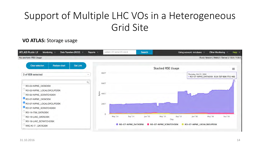#### **VO ATLAS:** Storage usage

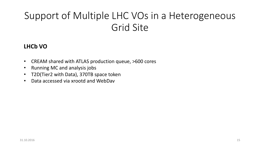#### **LHCb VO**

- CREAM shared with ATLAS production queue, >600 cores
- Running MC and analysis jobs
- T2D(Tier2 with Data), 370TB space token
- Data accessed via xrootd and WebDav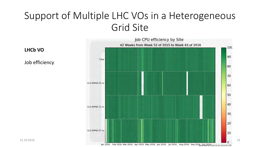

**LHCb VO**

Job efficiency

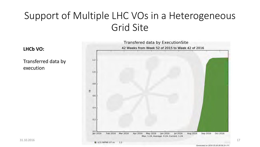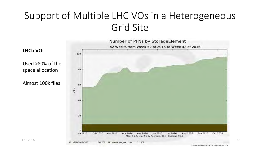

Generated on 2016-10-26 09:49:48 UTC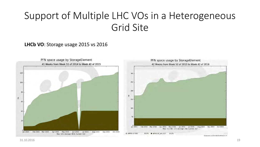#### **LHCb VO**: Storage usage 2015 vs 2016

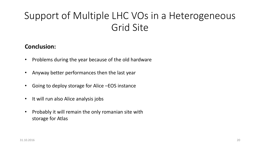#### **Conclusion:**

- Problems during the year because of the old hardware
- Anyway better performances then the last year
- Going to deploy storage for Alice –EOS instance
- It will run also Alice analysis jobs
- Probably it will remain the only romanian site with storage for Atlas